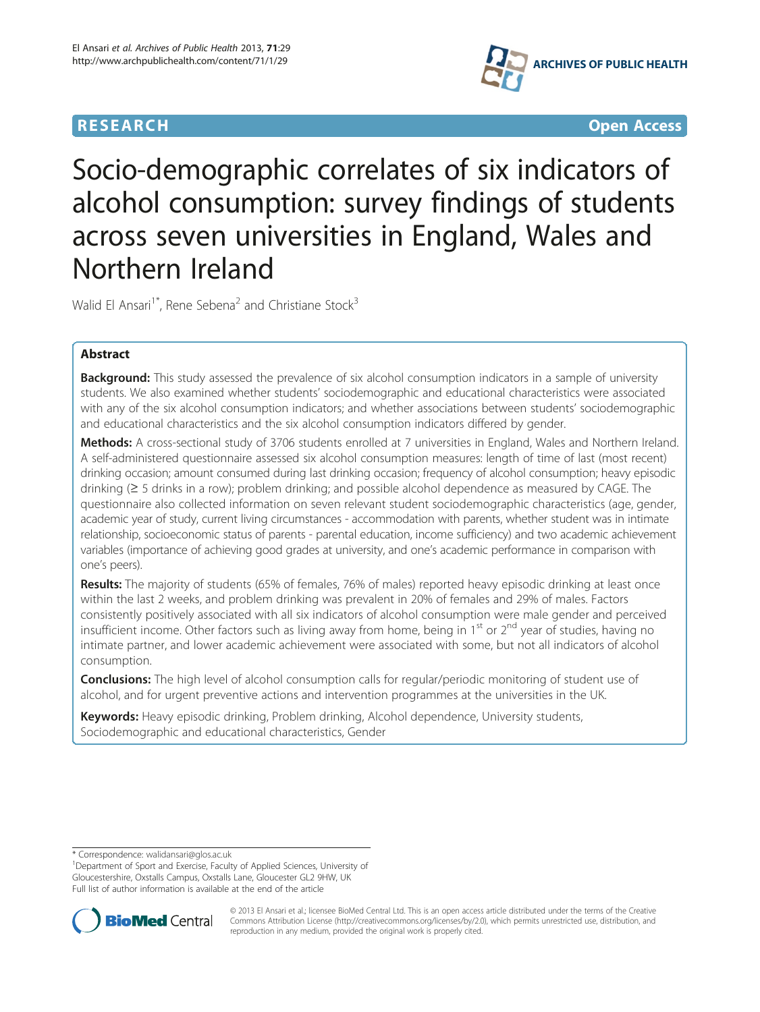# **RESEARCH CHINESE ARCHITECT IN THE SECOND CONTRACT CONTRACT OF CHINESE ARCHITECT CONTRACT CONTRACT CONTRACT CONTRACT CONTRACT CONTRACT CONTRACT CONTRACT CONTRACT CONTRACT CONTRACT CONTRACT CONTRACT CONTRACT CONTRACT CONT**



# Socio-demographic correlates of six indicators of alcohol consumption: survey findings of students across seven universities in England, Wales and Northern Ireland

Walid El Ansari<sup>1\*</sup>, Rene Sebena<sup>2</sup> and Christiane Stock<sup>3</sup>

## Abstract

**Background:** This study assessed the prevalence of six alcohol consumption indicators in a sample of university students. We also examined whether students' sociodemographic and educational characteristics were associated with any of the six alcohol consumption indicators; and whether associations between students' sociodemographic and educational characteristics and the six alcohol consumption indicators differed by gender.

Methods: A cross-sectional study of 3706 students enrolled at 7 universities in England, Wales and Northern Ireland. A self-administered questionnaire assessed six alcohol consumption measures: length of time of last (most recent) drinking occasion; amount consumed during last drinking occasion; frequency of alcohol consumption; heavy episodic drinking (≥ 5 drinks in a row); problem drinking; and possible alcohol dependence as measured by CAGE. The questionnaire also collected information on seven relevant student sociodemographic characteristics (age, gender, academic year of study, current living circumstances - accommodation with parents, whether student was in intimate relationship, socioeconomic status of parents - parental education, income sufficiency) and two academic achievement variables (importance of achieving good grades at university, and one's academic performance in comparison with one's peers).

Results: The majority of students (65% of females, 76% of males) reported heavy episodic drinking at least once within the last 2 weeks, and problem drinking was prevalent in 20% of females and 29% of males. Factors consistently positively associated with all six indicators of alcohol consumption were male gender and perceived insufficient income. Other factors such as living away from home, being in  $1<sup>st</sup>$  or  $2<sup>nd</sup>$  year of studies, having no intimate partner, and lower academic achievement were associated with some, but not all indicators of alcohol consumption.

**Conclusions:** The high level of alcohol consumption calls for regular/periodic monitoring of student use of alcohol, and for urgent preventive actions and intervention programmes at the universities in the UK.

Keywords: Heavy episodic drinking, Problem drinking, Alcohol dependence, University students, Sociodemographic and educational characteristics, Gender

<sup>&</sup>lt;sup>1</sup>Department of Sport and Exercise, Faculty of Applied Sciences, University of Gloucestershire, Oxstalls Campus, Oxstalls Lane, Gloucester GL2 9HW, UK Full list of author information is available at the end of the article



© 2013 El Ansari et al.; licensee BioMed Central Ltd. This is an open access article distributed under the terms of the Creative Commons Attribution License [\(http://creativecommons.org/licenses/by/2.0\)](http://creativecommons.org/licenses/by/2.0), which permits unrestricted use, distribution, and reproduction in any medium, provided the original work is properly cited.

<sup>\*</sup> Correspondence: [walidansari@glos.ac.uk](mailto:walidansari@glos.ac.uk) <sup>1</sup>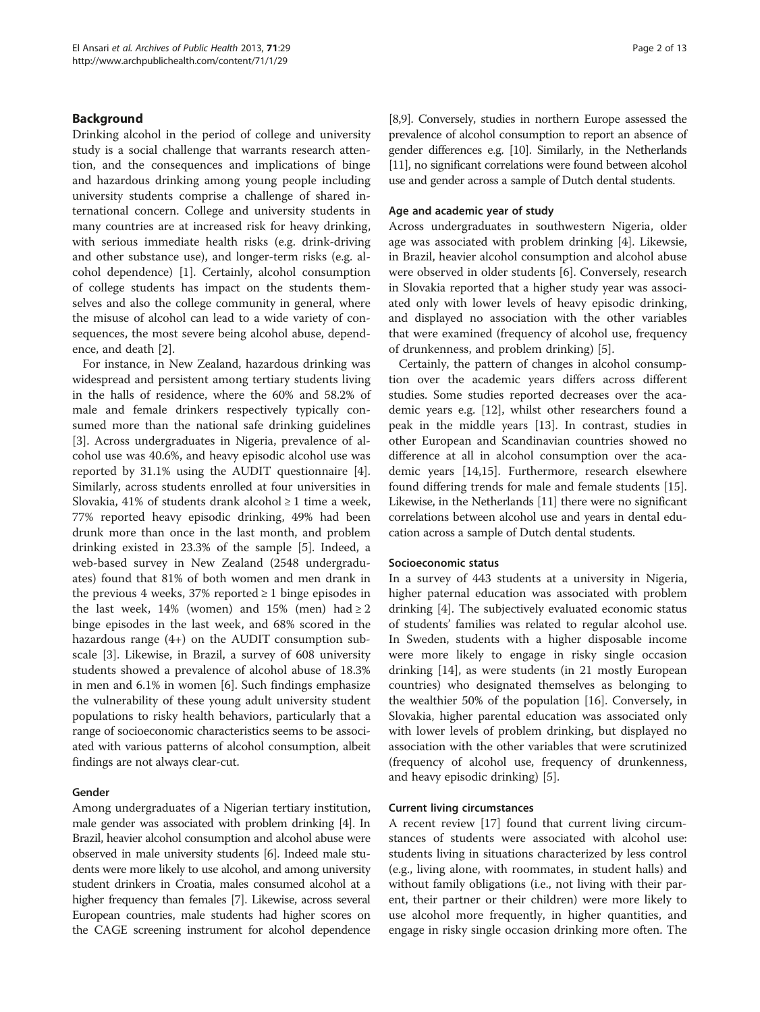## Background

Drinking alcohol in the period of college and university study is a social challenge that warrants research attention, and the consequences and implications of binge and hazardous drinking among young people including university students comprise a challenge of shared international concern. College and university students in many countries are at increased risk for heavy drinking, with serious immediate health risks (e.g. drink-driving and other substance use), and longer-term risks (e.g. alcohol dependence) [[1](#page-11-0)]. Certainly, alcohol consumption of college students has impact on the students themselves and also the college community in general, where the misuse of alcohol can lead to a wide variety of consequences, the most severe being alcohol abuse, dependence, and death [[2\]](#page-11-0).

For instance, in New Zealand, hazardous drinking was widespread and persistent among tertiary students living in the halls of residence, where the 60% and 58.2% of male and female drinkers respectively typically consumed more than the national safe drinking guidelines [[3\]](#page-11-0). Across undergraduates in Nigeria, prevalence of alcohol use was 40.6%, and heavy episodic alcohol use was reported by 31.1% using the AUDIT questionnaire [\[4](#page-11-0)]. Similarly, across students enrolled at four universities in Slovakia, 41% of students drank alcohol  $\geq 1$  time a week, 77% reported heavy episodic drinking, 49% had been drunk more than once in the last month, and problem drinking existed in 23.3% of the sample [[5](#page-11-0)]. Indeed, a web-based survey in New Zealand (2548 undergraduates) found that 81% of both women and men drank in the previous 4 weeks, 37% reported  $\geq 1$  binge episodes in the last week, 14% (women) and 15% (men) had  $\geq 2$ binge episodes in the last week, and 68% scored in the hazardous range (4+) on the AUDIT consumption subscale [[3](#page-11-0)]. Likewise, in Brazil, a survey of 608 university students showed a prevalence of alcohol abuse of 18.3% in men and 6.1% in women [[6\]](#page-11-0). Such findings emphasize the vulnerability of these young adult university student populations to risky health behaviors, particularly that a range of socioeconomic characteristics seems to be associated with various patterns of alcohol consumption, albeit findings are not always clear-cut.

#### Gender

Among undergraduates of a Nigerian tertiary institution, male gender was associated with problem drinking [[4](#page-11-0)]. In Brazil, heavier alcohol consumption and alcohol abuse were observed in male university students [\[6](#page-11-0)]. Indeed male students were more likely to use alcohol, and among university student drinkers in Croatia, males consumed alcohol at a higher frequency than females [\[7\]](#page-11-0). Likewise, across several European countries, male students had higher scores on the CAGE screening instrument for alcohol dependence [[8,9](#page-11-0)]. Conversely, studies in northern Europe assessed the prevalence of alcohol consumption to report an absence of gender differences e.g. [\[10\]](#page-12-0). Similarly, in the Netherlands [[11](#page-12-0)], no significant correlations were found between alcohol use and gender across a sample of Dutch dental students.

#### Age and academic year of study

Across undergraduates in southwestern Nigeria, older age was associated with problem drinking [\[4](#page-11-0)]. Likewsie, in Brazil, heavier alcohol consumption and alcohol abuse were observed in older students [\[6](#page-11-0)]. Conversely, research in Slovakia reported that a higher study year was associated only with lower levels of heavy episodic drinking, and displayed no association with the other variables that were examined (frequency of alcohol use, frequency of drunkenness, and problem drinking) [[5\]](#page-11-0).

Certainly, the pattern of changes in alcohol consumption over the academic years differs across different studies. Some studies reported decreases over the academic years e.g. [\[12](#page-12-0)], whilst other researchers found a peak in the middle years [\[13](#page-12-0)]. In contrast, studies in other European and Scandinavian countries showed no difference at all in alcohol consumption over the academic years [\[14,15](#page-12-0)]. Furthermore, research elsewhere found differing trends for male and female students [\[15](#page-12-0)]. Likewise, in the Netherlands [\[11\]](#page-12-0) there were no significant correlations between alcohol use and years in dental education across a sample of Dutch dental students.

#### Socioeconomic status

In a survey of 443 students at a university in Nigeria, higher paternal education was associated with problem drinking [[4\]](#page-11-0). The subjectively evaluated economic status of students' families was related to regular alcohol use. In Sweden, students with a higher disposable income were more likely to engage in risky single occasion drinking [\[14](#page-12-0)], as were students (in 21 mostly European countries) who designated themselves as belonging to the wealthier 50% of the population [\[16](#page-12-0)]. Conversely, in Slovakia, higher parental education was associated only with lower levels of problem drinking, but displayed no association with the other variables that were scrutinized (frequency of alcohol use, frequency of drunkenness, and heavy episodic drinking) [\[5](#page-11-0)].

#### Current living circumstances

A recent review [[17\]](#page-12-0) found that current living circumstances of students were associated with alcohol use: students living in situations characterized by less control (e.g., living alone, with roommates, in student halls) and without family obligations (i.e., not living with their parent, their partner or their children) were more likely to use alcohol more frequently, in higher quantities, and engage in risky single occasion drinking more often. The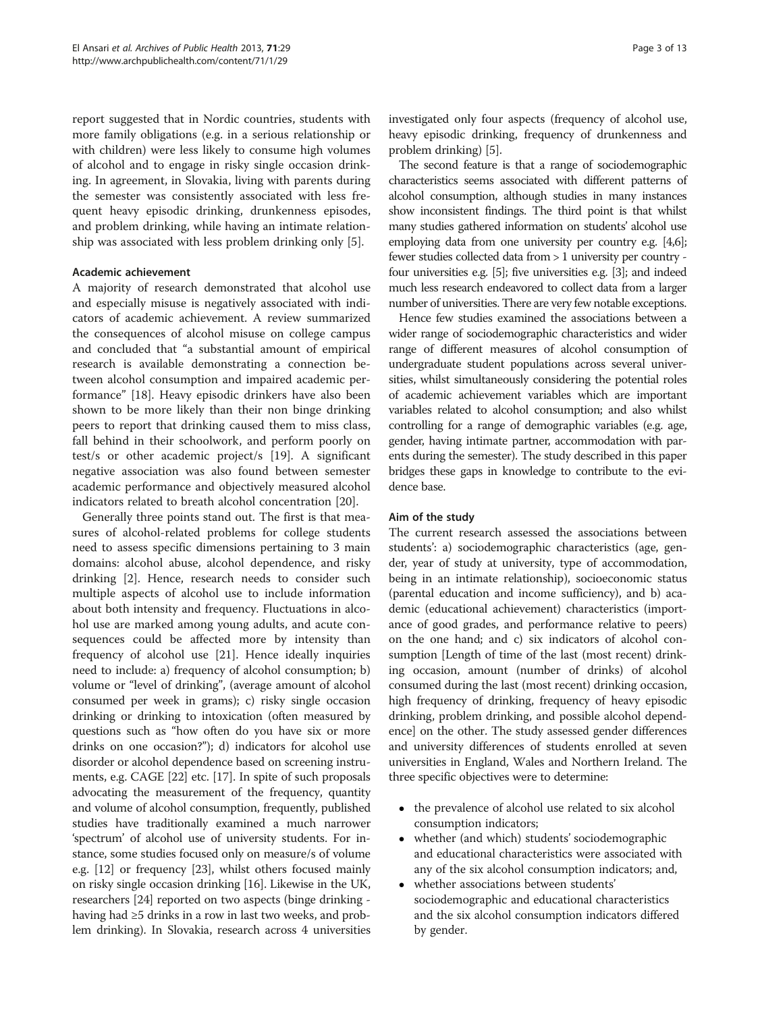report suggested that in Nordic countries, students with more family obligations (e.g. in a serious relationship or with children) were less likely to consume high volumes of alcohol and to engage in risky single occasion drinking. In agreement, in Slovakia, living with parents during the semester was consistently associated with less frequent heavy episodic drinking, drunkenness episodes, and problem drinking, while having an intimate relationship was associated with less problem drinking only [\[5](#page-11-0)].

#### Academic achievement

A majority of research demonstrated that alcohol use and especially misuse is negatively associated with indicators of academic achievement. A review summarized the consequences of alcohol misuse on college campus and concluded that "a substantial amount of empirical research is available demonstrating a connection between alcohol consumption and impaired academic performance" [[18\]](#page-12-0). Heavy episodic drinkers have also been shown to be more likely than their non binge drinking peers to report that drinking caused them to miss class, fall behind in their schoolwork, and perform poorly on test/s or other academic project/s [[19\]](#page-12-0). A significant negative association was also found between semester academic performance and objectively measured alcohol indicators related to breath alcohol concentration [\[20\]](#page-12-0).

Generally three points stand out. The first is that measures of alcohol-related problems for college students need to assess specific dimensions pertaining to 3 main domains: alcohol abuse, alcohol dependence, and risky drinking [[2\]](#page-11-0). Hence, research needs to consider such multiple aspects of alcohol use to include information about both intensity and frequency. Fluctuations in alcohol use are marked among young adults, and acute consequences could be affected more by intensity than frequency of alcohol use [[21\]](#page-12-0). Hence ideally inquiries need to include: a) frequency of alcohol consumption; b) volume or "level of drinking", (average amount of alcohol consumed per week in grams); c) risky single occasion drinking or drinking to intoxication (often measured by questions such as "how often do you have six or more drinks on one occasion?"); d) indicators for alcohol use disorder or alcohol dependence based on screening instruments, e.g. CAGE [[22](#page-12-0)] etc. [[17](#page-12-0)]. In spite of such proposals advocating the measurement of the frequency, quantity and volume of alcohol consumption, frequently, published studies have traditionally examined a much narrower 'spectrum' of alcohol use of university students. For instance, some studies focused only on measure/s of volume e.g. [\[12\]](#page-12-0) or frequency [\[23\]](#page-12-0), whilst others focused mainly on risky single occasion drinking [\[16\]](#page-12-0). Likewise in the UK, researchers [[24](#page-12-0)] reported on two aspects (binge drinking having had ≥5 drinks in a row in last two weeks, and problem drinking). In Slovakia, research across 4 universities investigated only four aspects (frequency of alcohol use, heavy episodic drinking, frequency of drunkenness and problem drinking) [[5](#page-11-0)].

The second feature is that a range of sociodemographic characteristics seems associated with different patterns of alcohol consumption, although studies in many instances show inconsistent findings. The third point is that whilst many studies gathered information on students' alcohol use employing data from one university per country e.g. [\[4,6\]](#page-11-0); fewer studies collected data from > 1 university per country four universities e.g. [[5](#page-11-0)]; five universities e.g. [[3](#page-11-0)]; and indeed much less research endeavored to collect data from a larger number of universities. There are very few notable exceptions.

Hence few studies examined the associations between a wider range of sociodemographic characteristics and wider range of different measures of alcohol consumption of undergraduate student populations across several universities, whilst simultaneously considering the potential roles of academic achievement variables which are important variables related to alcohol consumption; and also whilst controlling for a range of demographic variables (e.g. age, gender, having intimate partner, accommodation with parents during the semester). The study described in this paper bridges these gaps in knowledge to contribute to the evidence base.

## Aim of the study

The current research assessed the associations between students': a) sociodemographic characteristics (age, gender, year of study at university, type of accommodation, being in an intimate relationship), socioeconomic status (parental education and income sufficiency), and b) academic (educational achievement) characteristics (importance of good grades, and performance relative to peers) on the one hand; and c) six indicators of alcohol consumption [Length of time of the last (most recent) drinking occasion, amount (number of drinks) of alcohol consumed during the last (most recent) drinking occasion, high frequency of drinking, frequency of heavy episodic drinking, problem drinking, and possible alcohol dependence] on the other. The study assessed gender differences and university differences of students enrolled at seven universities in England, Wales and Northern Ireland. The three specific objectives were to determine:

- the prevalence of alcohol use related to six alcohol consumption indicators;
- whether (and which) students' sociodemographic and educational characteristics were associated with any of the six alcohol consumption indicators; and,
- whether associations between students' sociodemographic and educational characteristics and the six alcohol consumption indicators differed by gender.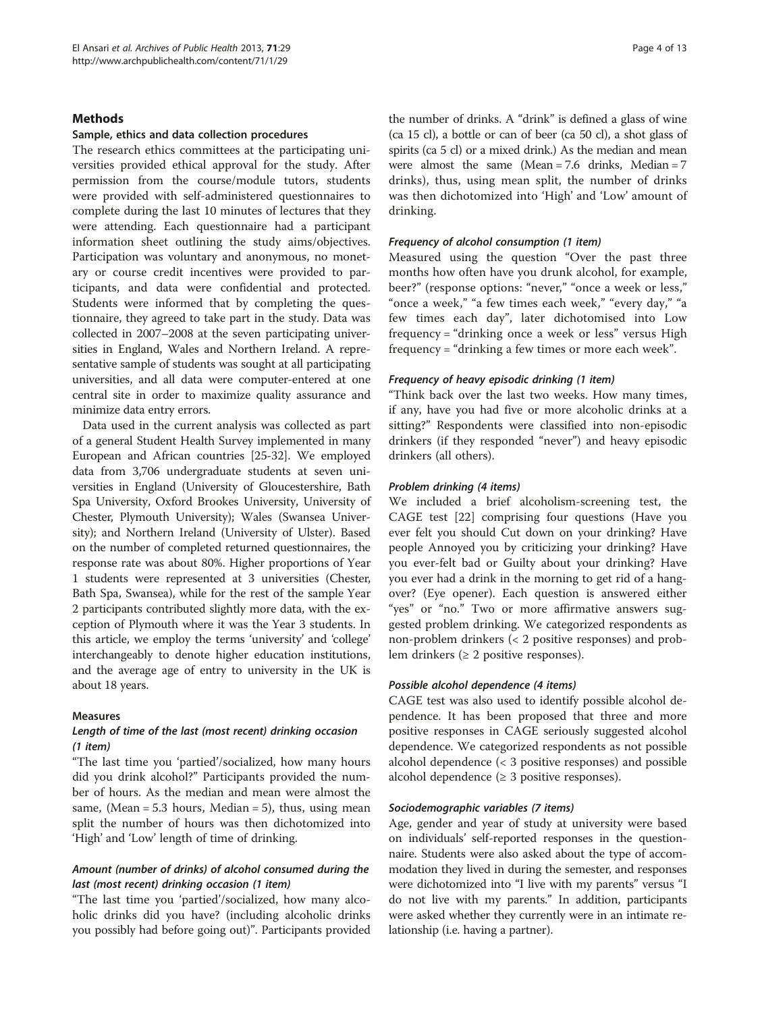## **Methods**

#### Sample, ethics and data collection procedures

The research ethics committees at the participating universities provided ethical approval for the study. After permission from the course/module tutors, students were provided with self-administered questionnaires to complete during the last 10 minutes of lectures that they were attending. Each questionnaire had a participant information sheet outlining the study aims/objectives. Participation was voluntary and anonymous, no monetary or course credit incentives were provided to participants, and data were confidential and protected. Students were informed that by completing the questionnaire, they agreed to take part in the study. Data was collected in 2007–2008 at the seven participating universities in England, Wales and Northern Ireland. A representative sample of students was sought at all participating universities, and all data were computer-entered at one central site in order to maximize quality assurance and minimize data entry errors.

Data used in the current analysis was collected as part of a general Student Health Survey implemented in many European and African countries [[25](#page-12-0)-[32](#page-12-0)]. We employed data from 3,706 undergraduate students at seven universities in England (University of Gloucestershire, Bath Spa University, Oxford Brookes University, University of Chester, Plymouth University); Wales (Swansea University); and Northern Ireland (University of Ulster). Based on the number of completed returned questionnaires, the response rate was about 80%. Higher proportions of Year 1 students were represented at 3 universities (Chester, Bath Spa, Swansea), while for the rest of the sample Year 2 participants contributed slightly more data, with the exception of Plymouth where it was the Year 3 students. In this article, we employ the terms 'university' and 'college' interchangeably to denote higher education institutions, and the average age of entry to university in the UK is about 18 years.

#### Measures

## Length of time of the last (most recent) drinking occasion (1 item)

"The last time you 'partied'/socialized, how many hours did you drink alcohol?" Participants provided the number of hours. As the median and mean were almost the same, (Mean  $= 5.3$  hours, Median  $= 5$ ), thus, using mean split the number of hours was then dichotomized into 'High' and 'Low' length of time of drinking.

## Amount (number of drinks) of alcohol consumed during the last (most recent) drinking occasion (1 item)

"The last time you 'partied'/socialized, how many alcoholic drinks did you have? (including alcoholic drinks you possibly had before going out)". Participants provided

the number of drinks. A "drink" is defined a glass of wine (ca 15 cl), a bottle or can of beer (ca 50 cl), a shot glass of spirits (ca 5 cl) or a mixed drink.) As the median and mean were almost the same (Mean =  $7.6$  drinks, Median =  $7$ drinks), thus, using mean split, the number of drinks was then dichotomized into 'High' and 'Low' amount of drinking.

#### Frequency of alcohol consumption (1 item)

Measured using the question "Over the past three months how often have you drunk alcohol, for example, beer?" (response options: "never," "once a week or less," "once a week," "a few times each week," "every day," "a few times each day", later dichotomised into Low frequency = "drinking once a week or less" versus High frequency = "drinking a few times or more each week".

## Frequency of heavy episodic drinking (1 item)

"Think back over the last two weeks. How many times, if any, have you had five or more alcoholic drinks at a sitting?" Respondents were classified into non-episodic drinkers (if they responded "never") and heavy episodic drinkers (all others).

## Problem drinking (4 items)

We included a brief alcoholism-screening test, the CAGE test [\[22](#page-12-0)] comprising four questions (Have you ever felt you should Cut down on your drinking? Have people Annoyed you by criticizing your drinking? Have you ever-felt bad or Guilty about your drinking? Have you ever had a drink in the morning to get rid of a hangover? (Eye opener). Each question is answered either "yes" or "no." Two or more affirmative answers suggested problem drinking. We categorized respondents as non-problem drinkers (< 2 positive responses) and problem drinkers ( $\geq 2$  positive responses).

#### Possible alcohol dependence (4 items)

CAGE test was also used to identify possible alcohol dependence. It has been proposed that three and more positive responses in CAGE seriously suggested alcohol dependence. We categorized respondents as not possible alcohol dependence (< 3 positive responses) and possible alcohol dependence  $(≥ 3$  positive responses).

#### Sociodemographic variables (7 items)

Age, gender and year of study at university were based on individuals' self-reported responses in the questionnaire. Students were also asked about the type of accommodation they lived in during the semester, and responses were dichotomized into "I live with my parents" versus "I do not live with my parents." In addition, participants were asked whether they currently were in an intimate relationship (i.e. having a partner).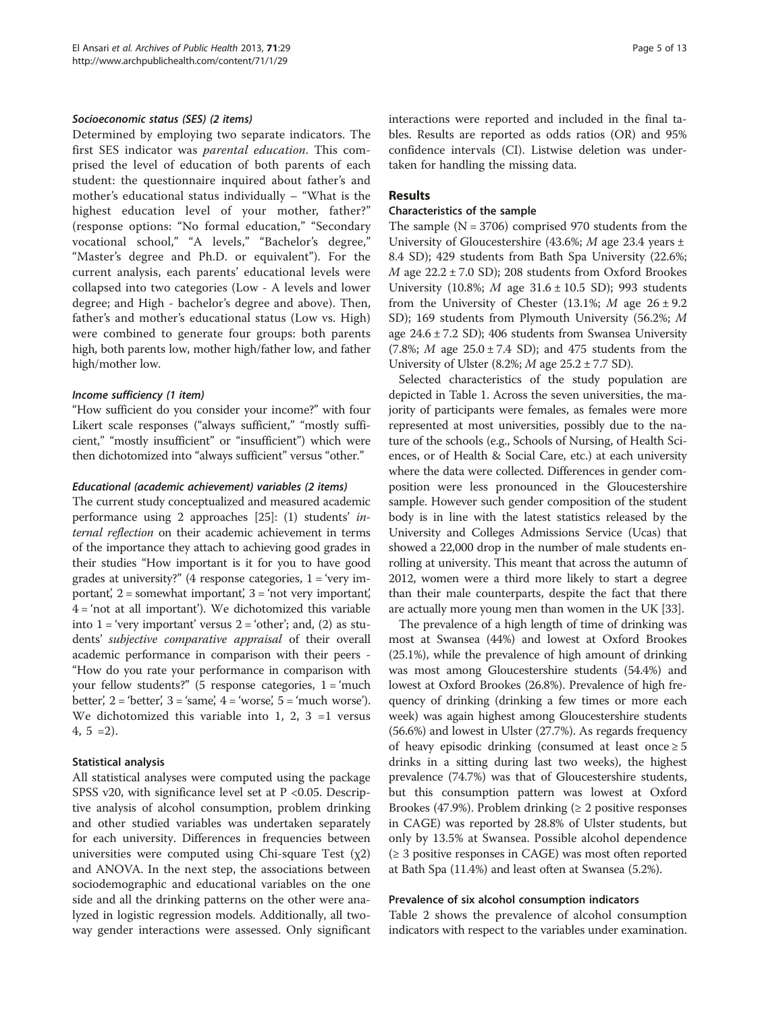#### Socioeconomic status (SES) (2 items)

Determined by employing two separate indicators. The first SES indicator was parental education. This comprised the level of education of both parents of each student: the questionnaire inquired about father's and mother's educational status individually – "What is the highest education level of your mother, father?" (response options: "No formal education," "Secondary vocational school," "A levels," "Bachelor's degree," "Master's degree and Ph.D. or equivalent"). For the current analysis, each parents' educational levels were collapsed into two categories (Low - A levels and lower degree; and High - bachelor's degree and above). Then, father's and mother's educational status (Low vs. High) were combined to generate four groups: both parents high, both parents low, mother high/father low, and father high/mother low.

#### Income sufficiency (1 item)

"How sufficient do you consider your income?" with four Likert scale responses ("always sufficient," "mostly sufficient," "mostly insufficient" or "insufficient") which were then dichotomized into "always sufficient" versus "other."

## Educational (academic achievement) variables (2 items)

The current study conceptualized and measured academic performance using 2 approaches [\[25](#page-12-0)]: (1) students' internal reflection on their academic achievement in terms of the importance they attach to achieving good grades in their studies "How important is it for you to have good grades at university?" (4 response categories,  $1 =$  'very important',  $2 =$  somewhat important',  $3 =$  'not very important',  $4 = 'not$  at all important'). We dichotomized this variable into  $1 = 'very important' versus 2 = 'other'; and, (2) as stu$ dents' subjective comparative appraisal of their overall academic performance in comparison with their peers - "How do you rate your performance in comparison with your fellow students?" (5 response categories, 1 = 'much better',  $2 =$  'better',  $3 =$  'same',  $4 =$  'worse',  $5 =$  'much worse'). We dichotomized this variable into 1, 2, 3 =1 versus  $4, 5 = 2$ .

#### Statistical analysis

All statistical analyses were computed using the package SPSS v20, with significance level set at P <0.05. Descriptive analysis of alcohol consumption, problem drinking and other studied variables was undertaken separately for each university. Differences in frequencies between universities were computed using Chi-square Test  $(\chi 2)$ and ANOVA. In the next step, the associations between sociodemographic and educational variables on the one side and all the drinking patterns on the other were analyzed in logistic regression models. Additionally, all twoway gender interactions were assessed. Only significant interactions were reported and included in the final tables. Results are reported as odds ratios (OR) and 95% confidence intervals (CI). Listwise deletion was undertaken for handling the missing data.

## Results

#### Characteristics of the sample

The sample  $(N = 3706)$  comprised 970 students from the University of Gloucestershire (43.6%; M age 23.4 years  $\pm$ 8.4 SD); 429 students from Bath Spa University (22.6%;  $M$  age  $22.2 \pm 7.0$  SD); 208 students from Oxford Brookes University (10.8%;  $M$  age 31.6 ± 10.5 SD); 993 students from the University of Chester (13.1%; M age  $26 \pm 9.2$ ) SD); 169 students from Plymouth University (56.2%; M age  $24.6 \pm 7.2$  SD); 406 students from Swansea University (7.8%; *M* age  $25.0 \pm 7.4$  SD); and 475 students from the University of Ulster  $(8.2\%; M$  age  $25.2 \pm 7.7$  SD).

Selected characteristics of the study population are depicted in Table [1](#page-5-0). Across the seven universities, the majority of participants were females, as females were more represented at most universities, possibly due to the nature of the schools (e.g., Schools of Nursing, of Health Sciences, or of Health & Social Care, etc.) at each university where the data were collected. Differences in gender composition were less pronounced in the Gloucestershire sample. However such gender composition of the student body is in line with the latest statistics released by the University and Colleges Admissions Service (Ucas) that showed a 22,000 drop in the number of male students enrolling at university. This meant that across the autumn of 2012, women were a third more likely to start a degree than their male counterparts, despite the fact that there are actually more young men than women in the UK [[33](#page-12-0)].

The prevalence of a high length of time of drinking was most at Swansea (44%) and lowest at Oxford Brookes (25.1%), while the prevalence of high amount of drinking was most among Gloucestershire students (54.4%) and lowest at Oxford Brookes (26.8%). Prevalence of high frequency of drinking (drinking a few times or more each week) was again highest among Gloucestershire students (56.6%) and lowest in Ulster (27.7%). As regards frequency of heavy episodic drinking (consumed at least once  $\geq 5$ drinks in a sitting during last two weeks), the highest prevalence (74.7%) was that of Gloucestershire students, but this consumption pattern was lowest at Oxford Brookes (47.9%). Problem drinking ( $\geq$  2 positive responses in CAGE) was reported by 28.8% of Ulster students, but only by 13.5% at Swansea. Possible alcohol dependence (≥ 3 positive responses in CAGE) was most often reported at Bath Spa (11.4%) and least often at Swansea (5.2%).

#### Prevalence of six alcohol consumption indicators

Table [2](#page-6-0) shows the prevalence of alcohol consumption indicators with respect to the variables under examination.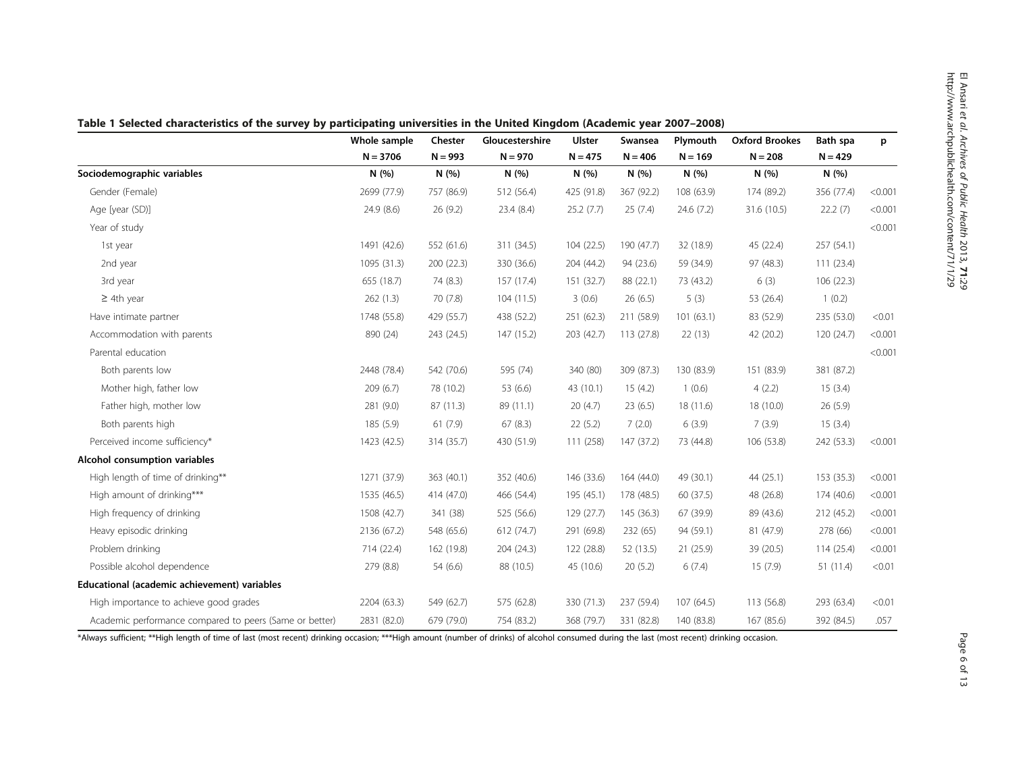|                                                         | Whole sample | Chester    | Gloucestershire | Ulster     | Swansea    | Plymouth   | <b>Oxford Brookes</b> | Bath spa   | p       |
|---------------------------------------------------------|--------------|------------|-----------------|------------|------------|------------|-----------------------|------------|---------|
|                                                         | $N = 3706$   | $N = 993$  | $N = 970$       | $N = 475$  | $N = 406$  | $N = 169$  | $N = 208$             | $N = 429$  |         |
| Sociodemographic variables                              | N(%)         | N(%)       | N (%)           | N (%)      | N (%)      | N (%)      | N(%)                  | N (%)      |         |
| Gender (Female)                                         | 2699 (77.9)  | 757 (86.9) | 512 (56.4)      | 425 (91.8) | 367 (92.2) | 108 (63.9) | 174 (89.2)            | 356 (77.4) | < 0.001 |
| Age [year (SD)]                                         | 24.9 (8.6)   | 26(9.2)    | 23.4 (8.4)      | 25.2(7.7)  | 25(7.4)    | 24.6 (7.2) | 31.6 (10.5)           | 22.2(7)    | < 0.001 |
| Year of study                                           |              |            |                 |            |            |            |                       |            | < 0.001 |
| 1st year                                                | 1491 (42.6)  | 552 (61.6) | 311 (34.5)      | 104 (22.5) | 190 (47.7) | 32 (18.9)  | 45 (22.4)             | 257 (54.1) |         |
| 2nd year                                                | 1095 (31.3)  | 200(22.3)  | 330 (36.6)      | 204 (44.2) | 94 (23.6)  | 59 (34.9)  | 97 (48.3)             | 111 (23.4) |         |
| 3rd year                                                | 655 (18.7)   | 74 (8.3)   | 157 (17.4)      | 151 (32.7) | 88 (22.1)  | 73 (43.2)  | 6(3)                  | 106 (22.3) |         |
| $\geq$ 4th year                                         | 262(1.3)     | 70 (7.8)   | 104(11.5)       | 3(0.6)     | 26(6.5)    | 5(3)       | 53 (26.4)             | 1(0.2)     |         |
| Have intimate partner                                   | 1748 (55.8)  | 429 (55.7) | 438 (52.2)      | 251 (62.3) | 211 (58.9) | 101(63.1)  | 83 (52.9)             | 235 (53.0) | < 0.01  |
| Accommodation with parents                              | 890 (24)     | 243 (24.5) | 147 (15.2)      | 203 (42.7) | 113 (27.8) | 22(13)     | 42 (20.2)             | 120 (24.7) | < 0.001 |
| Parental education                                      |              |            |                 |            |            |            |                       |            | < 0.001 |
| Both parents low                                        | 2448 (78.4)  | 542 (70.6) | 595 (74)        | 340 (80)   | 309 (87.3) | 130 (83.9) | 151 (83.9)            | 381 (87.2) |         |
| Mother high, father low                                 | 209(6.7)     | 78 (10.2)  | 53 (6.6)        | 43 (10.1)  | 15(4.2)    | 1(0.6)     | 4(2.2)                | 15(3.4)    |         |
| Father high, mother low                                 | 281 (9.0)    | 87 (11.3)  | 89 (11.1)       | 20(4.7)    | 23(6.5)    | 18 (11.6)  | 18 (10.0)             | 26(5.9)    |         |
| Both parents high                                       | 185 (5.9)    | 61(7.9)    | 67(8.3)         | 22(5.2)    | 7(2.0)     | 6(3.9)     | 7(3.9)                | 15(3.4)    |         |
| Perceived income sufficiency*                           | 1423 (42.5)  | 314 (35.7) | 430 (51.9)      | 111 (258)  | 147 (37.2) | 73 (44.8)  | 106 (53.8)            | 242 (53.3) | < 0.001 |
| Alcohol consumption variables                           |              |            |                 |            |            |            |                       |            |         |
| High length of time of drinking**                       | 1271 (37.9)  | 363 (40.1) | 352 (40.6)      | 146 (33.6) | 164 (44.0) | 49 (30.1)  | 44 (25.1)             | 153 (35.3) | < 0.001 |
| High amount of drinking***                              | 1535 (46.5)  | 414 (47.0) | 466 (54.4)      | 195 (45.1) | 178 (48.5) | 60 (37.5)  | 48 (26.8)             | 174 (40.6) | < 0.001 |
| High frequency of drinking                              | 1508 (42.7)  | 341 (38)   | 525 (56.6)      | 129 (27.7) | 145 (36.3) | 67 (39.9)  | 89 (43.6)             | 212 (45.2) | < 0.001 |
| Heavy episodic drinking                                 | 2136 (67.2)  | 548 (65.6) | 612 (74.7)      | 291 (69.8) | 232 (65)   | 94 (59.1)  | 81 (47.9)             | 278 (66)   | < 0.001 |
| Problem drinking                                        | 714 (22.4)   | 162 (19.8) | 204 (24.3)      | 122 (28.8) | 52 (13.5)  | 21 (25.9)  | 39 (20.5)             | 114(25.4)  | < 0.001 |
| Possible alcohol dependence                             | 279 (8.8)    | 54 (6.6)   | 88 (10.5)       | 45 (10.6)  | 20(5.2)    | 6(7.4)     | 15(7.9)               | 51(11.4)   | < 0.01  |
| Educational (academic achievement) variables            |              |            |                 |            |            |            |                       |            |         |
| High importance to achieve good grades                  | 2204 (63.3)  | 549 (62.7) | 575 (62.8)      | 330 (71.3) | 237 (59.4) | 107(64.5)  | 113 (56.8)            | 293 (63.4) | < 0.01  |
| Academic performance compared to peers (Same or better) | 2831 (82.0)  | 679 (79.0) | 754 (83.2)      | 368 (79.7) | 331 (82.8) | 140 (83.8) | 167 (85.6)            | 392 (84.5) | .057    |

#### <span id="page-5-0"></span>Table 1 Selected characteristics of the survey by participating universities in the United Kingdom (Academic year 2007–2008)

\*Always sufficient; \*\*High length of time of last (most recent) drinking occasion; \*\*\*High amount (number of drinks) of alcohol consumed during the last (most recent) drinking occasion.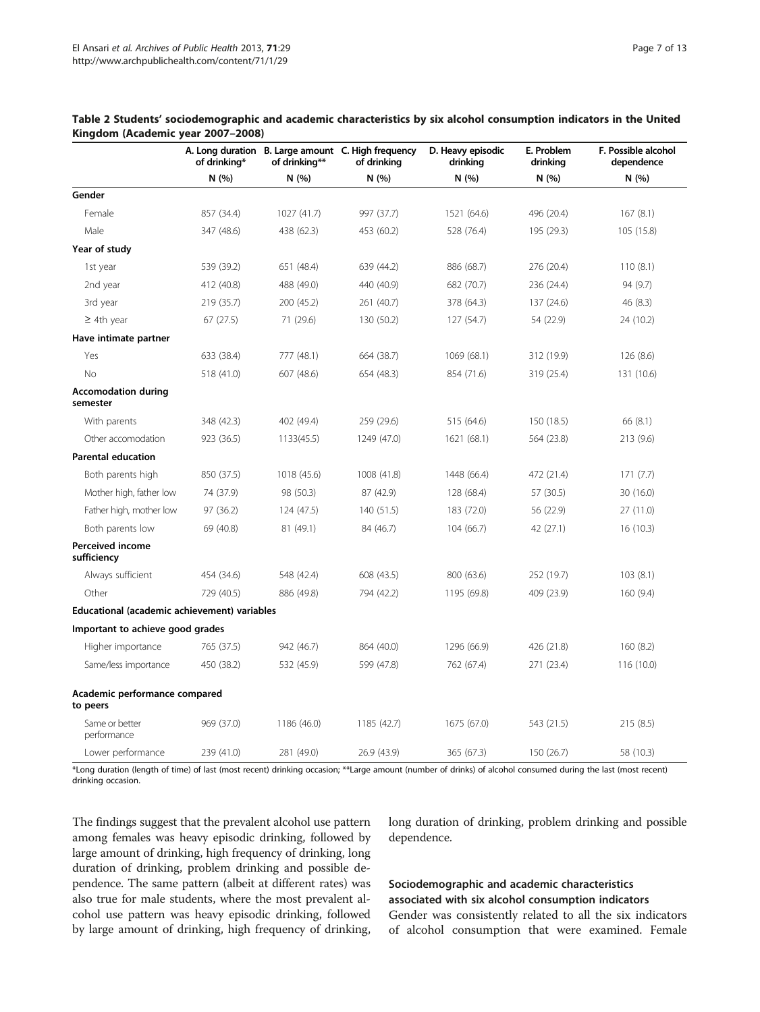|                                              | of drinking* | of drinking** | A. Long duration B. Large amount C. High frequency<br>of drinking | D. Heavy episodic<br>drinking | E. Problem<br>drinking | F. Possible alcohol<br>dependence |
|----------------------------------------------|--------------|---------------|-------------------------------------------------------------------|-------------------------------|------------------------|-----------------------------------|
|                                              | N (%)        | N(%)          | N(%)                                                              | N (%)                         | N(%)                   | N(%)                              |
| Gender                                       |              |               |                                                                   |                               |                        |                                   |
| Female                                       | 857 (34.4)   | 1027 (41.7)   | 997 (37.7)                                                        | 1521 (64.6)                   | 496 (20.4)             | 167(8.1)                          |
| Male                                         | 347 (48.6)   | 438 (62.3)    | 453 (60.2)                                                        | 528 (76.4)                    | 195 (29.3)             | 105 (15.8)                        |
| Year of study                                |              |               |                                                                   |                               |                        |                                   |
| 1st year                                     | 539 (39.2)   | 651 (48.4)    | 639 (44.2)                                                        | 886 (68.7)                    | 276 (20.4)             | 110(8.1)                          |
| 2nd year                                     | 412 (40.8)   | 488 (49.0)    | 440 (40.9)                                                        | 682 (70.7)                    | 236 (24.4)             | 94 (9.7)                          |
| 3rd year                                     | 219 (35.7)   | 200 (45.2)    | 261 (40.7)                                                        | 378 (64.3)                    | 137 (24.6)             | 46 (8.3)                          |
| $\geq$ 4th year                              | 67 (27.5)    | 71 (29.6)     | 130 (50.2)                                                        | 127 (54.7)                    | 54 (22.9)              | 24 (10.2)                         |
| Have intimate partner                        |              |               |                                                                   |                               |                        |                                   |
| Yes                                          | 633 (38.4)   | 777 (48.1)    | 664 (38.7)                                                        | 1069 (68.1)                   | 312 (19.9)             | 126(8.6)                          |
| No                                           | 518 (41.0)   | 607 (48.6)    | 654 (48.3)                                                        | 854 (71.6)                    | 319 (25.4)             | 131 (10.6)                        |
| <b>Accomodation during</b><br>semester       |              |               |                                                                   |                               |                        |                                   |
| With parents                                 | 348 (42.3)   | 402 (49.4)    | 259 (29.6)                                                        | 515 (64.6)                    | 150 (18.5)             | 66 (8.1)                          |
| Other accomodation                           | 923 (36.5)   | 1133(45.5)    | 1249 (47.0)                                                       | 1621 (68.1)                   | 564 (23.8)             | 213 (9.6)                         |
| <b>Parental education</b>                    |              |               |                                                                   |                               |                        |                                   |
| Both parents high                            | 850 (37.5)   | 1018 (45.6)   | 1008 (41.8)                                                       | 1448 (66.4)                   | 472 (21.4)             | 171(7.7)                          |
| Mother high, father low                      | 74 (37.9)    | 98 (50.3)     | 87 (42.9)                                                         | 128 (68.4)                    | 57 (30.5)              | 30 (16.0)                         |
| Father high, mother low                      | 97 (36.2)    | 124(47.5)     | 140(51.5)                                                         | 183 (72.0)                    | 56 (22.9)              | 27 (11.0)                         |
| Both parents low                             | 69 (40.8)    | 81 (49.1)     | 84 (46.7)                                                         | 104(66.7)                     | 42 (27.1)              | 16(10.3)                          |
| Perceived income<br>sufficiency              |              |               |                                                                   |                               |                        |                                   |
| Always sufficient                            | 454 (34.6)   | 548 (42.4)    | 608 (43.5)                                                        | 800 (63.6)                    | 252 (19.7)             | 103(8.1)                          |
| Other                                        | 729 (40.5)   | 886 (49.8)    | 794 (42.2)                                                        | 1195 (69.8)                   | 409 (23.9)             | 160(9.4)                          |
| Educational (academic achievement) variables |              |               |                                                                   |                               |                        |                                   |
| Important to achieve good grades             |              |               |                                                                   |                               |                        |                                   |
| Higher importance                            | 765 (37.5)   | 942 (46.7)    | 864 (40.0)                                                        | 1296 (66.9)                   | 426 (21.8)             | 160(8.2)                          |
| Same/less importance                         | 450 (38.2)   | 532 (45.9)    | 599 (47.8)                                                        | 762 (67.4)                    | 271 (23.4)             | 116 (10.0)                        |
| Academic performance compared<br>to peers    |              |               |                                                                   |                               |                        |                                   |
| Same or better<br>performance                | 969 (37.0)   | 1186 (46.0)   | 1185 (42.7)                                                       | 1675 (67.0)                   | 543 (21.5)             | 215 (8.5)                         |
| Lower performance                            | 239 (41.0)   | 281 (49.0)    | 26.9 (43.9)                                                       | 365 (67.3)                    | 150 (26.7)             | 58 (10.3)                         |

<span id="page-6-0"></span>Table 2 Students' sociodemographic and academic characteristics by six alcohol consumption indicators in the United Kingdom (Academic year 2007–2008)

\*Long duration (length of time) of last (most recent) drinking occasion; \*\*Large amount (number of drinks) of alcohol consumed during the last (most recent) drinking occasion.

The findings suggest that the prevalent alcohol use pattern among females was heavy episodic drinking, followed by large amount of drinking, high frequency of drinking, long duration of drinking, problem drinking and possible dependence. The same pattern (albeit at different rates) was also true for male students, where the most prevalent alcohol use pattern was heavy episodic drinking, followed by large amount of drinking, high frequency of drinking,

long duration of drinking, problem drinking and possible dependence.

# Sociodemographic and academic characteristics associated with six alcohol consumption indicators

Gender was consistently related to all the six indicators of alcohol consumption that were examined. Female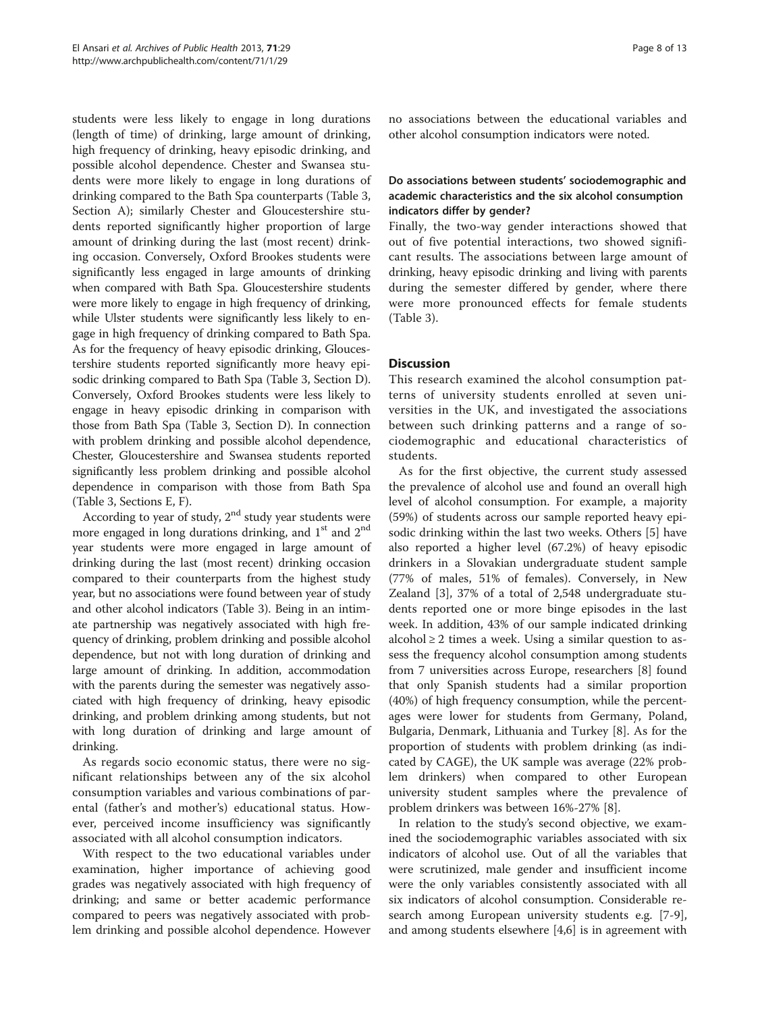students were less likely to engage in long durations (length of time) of drinking, large amount of drinking, high frequency of drinking, heavy episodic drinking, and possible alcohol dependence. Chester and Swansea students were more likely to engage in long durations of drinking compared to the Bath Spa counterparts (Table [3](#page-8-0), Section A); similarly Chester and Gloucestershire students reported significantly higher proportion of large amount of drinking during the last (most recent) drinking occasion. Conversely, Oxford Brookes students were significantly less engaged in large amounts of drinking when compared with Bath Spa. Gloucestershire students were more likely to engage in high frequency of drinking, while Ulster students were significantly less likely to engage in high frequency of drinking compared to Bath Spa. As for the frequency of heavy episodic drinking, Gloucestershire students reported significantly more heavy episodic drinking compared to Bath Spa (Table [3](#page-8-0), Section D). Conversely, Oxford Brookes students were less likely to engage in heavy episodic drinking in comparison with those from Bath Spa (Table [3,](#page-8-0) Section D). In connection with problem drinking and possible alcohol dependence, Chester, Gloucestershire and Swansea students reported significantly less problem drinking and possible alcohol dependence in comparison with those from Bath Spa (Table [3](#page-8-0), Sections E, F).

According to year of study,  $2<sup>nd</sup>$  study year students were more engaged in long durations drinking, and  $1<sup>st</sup>$  and  $2<sup>nd</sup>$ year students were more engaged in large amount of drinking during the last (most recent) drinking occasion compared to their counterparts from the highest study year, but no associations were found between year of study and other alcohol indicators (Table [3](#page-8-0)). Being in an intimate partnership was negatively associated with high frequency of drinking, problem drinking and possible alcohol dependence, but not with long duration of drinking and large amount of drinking. In addition, accommodation with the parents during the semester was negatively associated with high frequency of drinking, heavy episodic drinking, and problem drinking among students, but not with long duration of drinking and large amount of drinking.

As regards socio economic status, there were no significant relationships between any of the six alcohol consumption variables and various combinations of parental (father's and mother's) educational status. However, perceived income insufficiency was significantly associated with all alcohol consumption indicators.

With respect to the two educational variables under examination, higher importance of achieving good grades was negatively associated with high frequency of drinking; and same or better academic performance compared to peers was negatively associated with problem drinking and possible alcohol dependence. However no associations between the educational variables and other alcohol consumption indicators were noted.

## Do associations between students' sociodemographic and academic characteristics and the six alcohol consumption indicators differ by gender?

Finally, the two-way gender interactions showed that out of five potential interactions, two showed significant results. The associations between large amount of drinking, heavy episodic drinking and living with parents during the semester differed by gender, where there were more pronounced effects for female students (Table [3](#page-8-0)).

## **Discussion**

This research examined the alcohol consumption patterns of university students enrolled at seven universities in the UK, and investigated the associations between such drinking patterns and a range of sociodemographic and educational characteristics of students.

As for the first objective, the current study assessed the prevalence of alcohol use and found an overall high level of alcohol consumption. For example, a majority (59%) of students across our sample reported heavy episodic drinking within the last two weeks. Others [\[5\]](#page-11-0) have also reported a higher level (67.2%) of heavy episodic drinkers in a Slovakian undergraduate student sample (77% of males, 51% of females). Conversely, in New Zealand [\[3](#page-11-0)], 37% of a total of 2,548 undergraduate students reported one or more binge episodes in the last week. In addition, 43% of our sample indicated drinking alcohol  $\geq 2$  times a week. Using a similar question to assess the frequency alcohol consumption among students from 7 universities across Europe, researchers [[8\]](#page-11-0) found that only Spanish students had a similar proportion (40%) of high frequency consumption, while the percentages were lower for students from Germany, Poland, Bulgaria, Denmark, Lithuania and Turkey [\[8](#page-11-0)]. As for the proportion of students with problem drinking (as indicated by CAGE), the UK sample was average (22% problem drinkers) when compared to other European university student samples where the prevalence of problem drinkers was between 16%-27% [\[8](#page-11-0)].

In relation to the study's second objective, we examined the sociodemographic variables associated with six indicators of alcohol use. Out of all the variables that were scrutinized, male gender and insufficient income were the only variables consistently associated with all six indicators of alcohol consumption. Considerable research among European university students e.g. [[7-9](#page-11-0)], and among students elsewhere [[4,6\]](#page-11-0) is in agreement with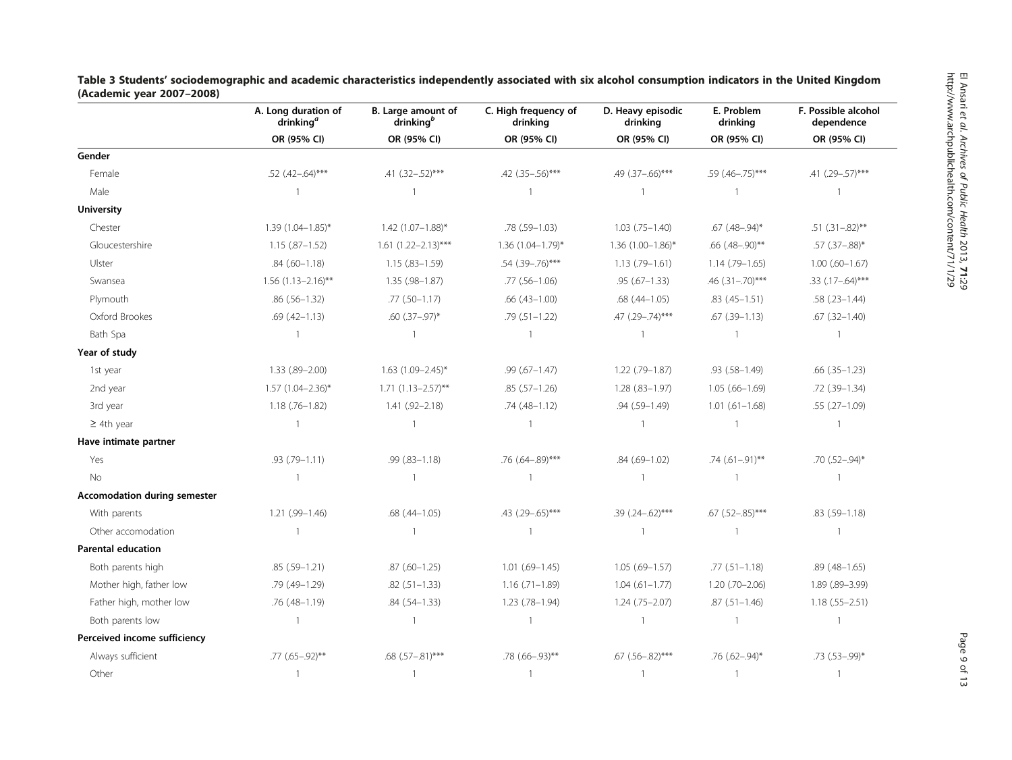|                                     | A. Long duration of<br>drinking <sup>a</sup> | B. Large amount of<br>drinking <sup>b</sup> |                                 | D. Heavy episodic<br>drinking | E. Problem<br>drinking | F. Possible alcohol<br>dependence |  |
|-------------------------------------|----------------------------------------------|---------------------------------------------|---------------------------------|-------------------------------|------------------------|-----------------------------------|--|
|                                     | OR (95% CI)                                  | OR (95% CI)                                 | OR (95% CI)                     | OR (95% CI)                   | OR (95% CI)            | OR (95% CI)                       |  |
| Gender                              |                                              |                                             |                                 |                               |                        |                                   |  |
| Female                              | $.52$ (.42 - .64)***                         | $.41 (.32 - .52)$ ***                       | .42 (.35 - .56)***              | .49 (.37 -. 66)***            | $.59$ $(.46-.75)$ ***  | .41 (.29 - .57)***                |  |
| Male                                | $\overline{1}$                               |                                             | -1                              |                               | $\overline{1}$         | 1                                 |  |
| <b>University</b>                   |                                              |                                             |                                 |                               |                        |                                   |  |
| Chester                             | $1.39(1.04 - 1.85)^*$                        | $1.42$ (1.07-1.88)*                         | $.78$ $(.59-1.03)$              | $1.03$ $(.75-1.40)$           | $.67$ $(.48-.94)^*$    | $.51 (.31 - .82)$ **              |  |
| Gloucestershire                     | $1.15$ (.87-1.52)                            | $1.61 (1.22 - 2.13)$ ***                    | $1.36$ (1.04-1.79) <sup>*</sup> | 1.36 (1.00-1.86)*             | $.66$ $(.48-.90)$ **   | $.57$ $(.37 - .88)^*$             |  |
| Ulster                              | $.84(.60-1.18)$                              | $1.15(.83 - 1.59)$                          | .54 (.39 - .76)***              | $1.13$ (.79-1.61)             | $1.14$ (.79-1.65)      | $1.00$ (.60-1.67)                 |  |
| Swansea                             | $1.56$ (1.13-2.16)**                         | $1.35(.98 - 1.87)$                          | $.77$ $(.56 - 1.06)$            | $.95(.67 - 1.33)$             | $.46$ $(.31-.70)$ ***  | $.33$ $(.17 - .64)$ ***           |  |
| Plymouth                            | $.86(.56-1.32)$                              | $.77$ (.50-1.17)                            | $.66$ $(.43-1.00)$              | $.68$ $(.44-1.05)$            | $.83(.45-1.51)$        | $.58(.23-1.44)$                   |  |
| Oxford Brookes                      | $.69(.42 - 1.13)$                            | .60 $(.37 - .97)^*$                         | $.79(.51 - 1.22)$               | .47 (.29 -. 74)***            | $.67$ $(.39-1.13)$     | $.67$ $(.32-1.40)$                |  |
| Bath Spa                            | $\overline{1}$                               |                                             | $\mathbf{1}$                    |                               | $\overline{1}$         | $\mathbf{1}$                      |  |
| Year of study                       |                                              |                                             |                                 |                               |                        |                                   |  |
| 1st year                            | 1.33 (.89-2.00)                              | $1.63$ $(1.09 - 2.45)^*$                    | $.99$ $(.67 - 1.47)$            | $1.22$ (.79-1.87)             | $.93(.58 - 1.49)$      | $.66$ $(.35-1.23)$                |  |
| 2nd year                            | $1.57$ (1.04-2.36)*                          | $1.71(1.13 - 2.57)$ **                      | $.85(.57 - 1.26)$               | $1.28$ $(.83 - 1.97)$         | $1.05$ $(.66-1.69)$    | $.72(.39 - 1.34)$                 |  |
| 3rd year                            | $1.18(.76 - 1.82)$                           | $1.41(.92 - 2.18)$                          | $.74(.48 - 1.12)$               | .94 (.59-1.49)                | $1.01$ $(.61-1.68)$    | $.55(.27-1.09)$                   |  |
| $\geq$ 4th year                     | $\overline{1}$                               | $\mathbf{1}$                                | $\mathbf{1}$                    | $\overline{1}$                | $\overline{1}$         | $\mathbf{1}$                      |  |
| Have intimate partner               |                                              |                                             |                                 |                               |                        |                                   |  |
| Yes                                 | $.93(.79 - 1.11)$                            | $.99(.83 - 1.18)$                           | .76 (.64-.89)***                | .84 (.69-1.02)                | $.74$ $(.61 - .91)$ ** | .70 (.52 -. 94)*                  |  |
| <b>No</b>                           | $\overline{1}$                               |                                             | $\mathbf{1}$                    |                               | $\mathbf{1}$           | $\overline{1}$                    |  |
| <b>Accomodation during semester</b> |                                              |                                             |                                 |                               |                        |                                   |  |
| With parents                        | 1.21 (.99-1.46)                              | $.68$ $(.44-1.05)$                          | .43 (.29 -. 65)***              | $.39$ $(.24-.62)$ ***         | .67 $(.52-.85)$ ***    | $.83(.59 - 1.18)$                 |  |
| Other accomodation                  | $\mathbf{1}$                                 |                                             | $\mathbf{1}$                    |                               | $\overline{1}$         | $\mathbf{1}$                      |  |
| <b>Parental education</b>           |                                              |                                             |                                 |                               |                        |                                   |  |
| Both parents high                   | $.85(.59-1.21)$                              | $.87$ $(.60-1.25)$                          | $1.01$ (.69-1.45)               | $1.05$ (.69-1.57)             | $.77$ $(.51 - 1.18)$   | $.89(.48-1.65)$                   |  |
| Mother high, father low             | .79 (.49-1.29)                               | $.82$ $(.51-1.33)$                          | $1.16$ (.71-1.89)               | $1.04$ $(.61-1.77)$           | $1.20$ (.70-2.06)      | 1.89 (.89-3.99)                   |  |
| Father high, mother low             | $.76(.48-1.19)$                              | $.84(.54 - 1.33)$                           | $1.23$ $(.78-1.94)$             | $1.24$ (.75-2.07)             | $.87(.51 - 1.46)$      | $1.18$ (.55-2.51)                 |  |
| Both parents low                    | $\overline{1}$                               | $\overline{1}$                              | $\overline{1}$                  | $\overline{1}$                | $\overline{1}$         | $\overline{1}$                    |  |
| Perceived income sufficiency        |                                              |                                             |                                 |                               |                        |                                   |  |
| Always sufficient                   | $.77$ $(.65-.92)$ **                         | .68 $(.57 - .81)$ ***                       | $.78$ (.66-.93)**               | $.67$ $(.56 - .82)$ ***       | $.76$ (.62-.94)*       | $.73$ $(.53 - .99)^*$             |  |
| Other                               | $\overline{1}$                               | $\mathbf{1}$                                | $\mathbf{1}$                    | $\overline{1}$                | $\overline{1}$         | $\overline{1}$                    |  |

<span id="page-8-0"></span>Table 3 Students' sociodemographic and academic characteristics independently associated with six alcohol consumption indicators in the United Kingdom (Academic year 2007–2008)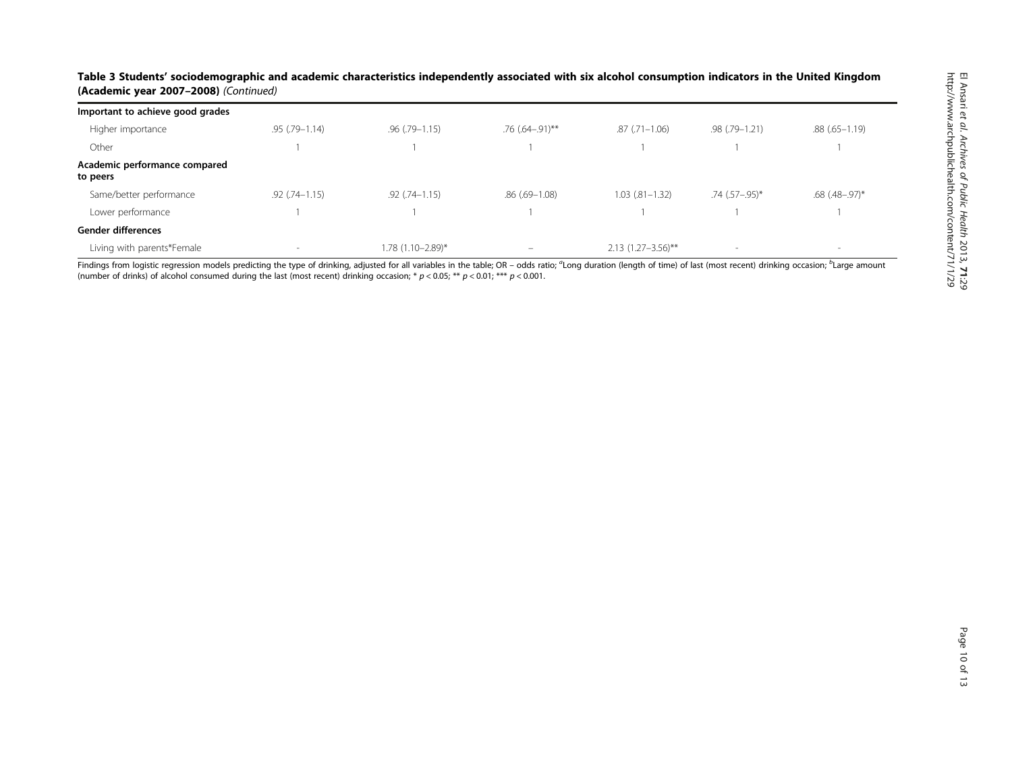## Table 3 Students' sociodemographic and academic characteristics independently associated with six alcohol consumption indicators in the United Kingdom (Academic year 2007–2008) (Continued)

| Important to achieve good grades          |                          |                      |                          |                        |                          |                          |
|-------------------------------------------|--------------------------|----------------------|--------------------------|------------------------|--------------------------|--------------------------|
| Higher importance                         | $.95(.79-1.14)$          | $.96$ $(.79-1.15)$   | $.76$ (.64–.91)**        | $.87$ $(.71 - 1.06)$   | .98 (.79-1.21)           | $.88(.65 - 1.19)$        |
| Other                                     |                          |                      |                          |                        |                          |                          |
| Academic performance compared<br>to peers |                          |                      |                          |                        |                          |                          |
| Same/better performance                   | $.92$ $(.74 - 1.15)$     | $.92$ $(.74 - 1.15)$ | $.86(.69-1.08)$          | $1.03(.81 - 1.32)$     | $.74$ $(.57 - .95)^*$    | $.68$ $(.48-.97)$ *      |
| Lower performance                         |                          |                      |                          |                        |                          |                          |
| <b>Gender differences</b>                 |                          |                      |                          |                        |                          |                          |
| Living with parents*Female                | $\overline{\phantom{a}}$ | $1.78$ (1.10-2.89)*  | $\overline{\phantom{a}}$ | $2.13(1.27 - 3.56)$ ** | $\overline{\phantom{a}}$ | $\overline{\phantom{a}}$ |

Findings from logistic regression models predicting the type of drinking, adjusted for all variables in the table; OR – odds ratio; <sup>a</sup>Long duration (length of time) of last (most recent) drinking occasion; <sup>b</sup>Large amount (number of drinks) of alcohol consumed during the last (most recent) drinking occasion; \*  $p < 0.05$ ; \*\*  $p < 0.01$ ; \*\*\*  $p < 0.001$ .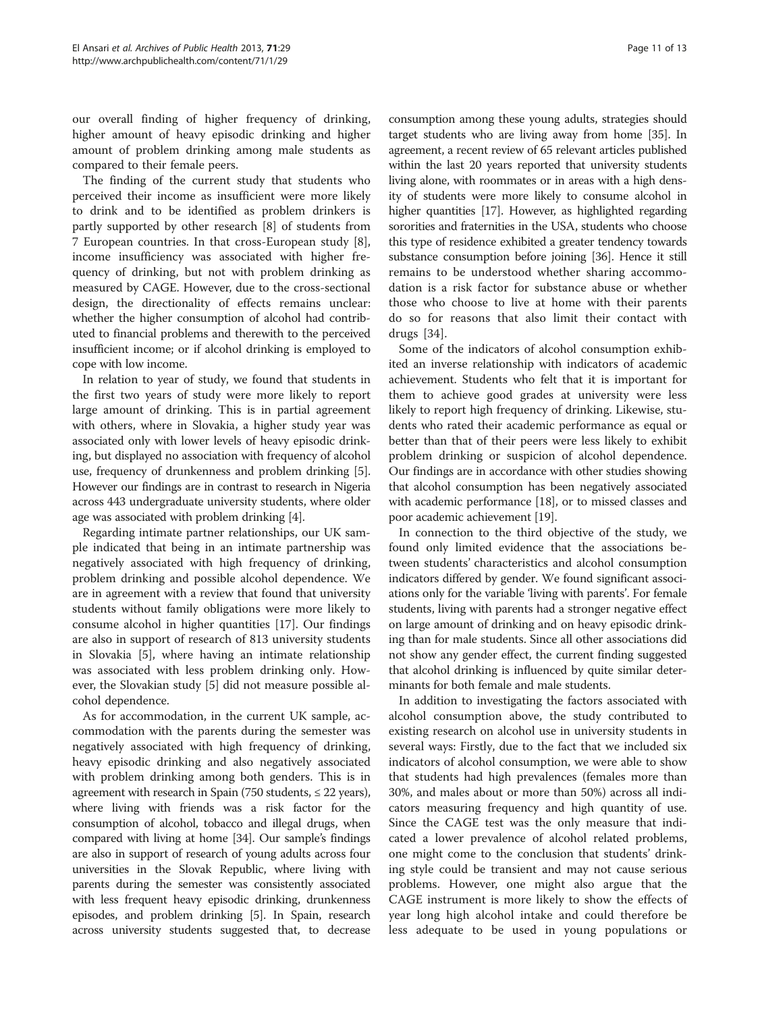our overall finding of higher frequency of drinking, higher amount of heavy episodic drinking and higher amount of problem drinking among male students as compared to their female peers.

The finding of the current study that students who perceived their income as insufficient were more likely to drink and to be identified as problem drinkers is partly supported by other research [[8\]](#page-11-0) of students from 7 European countries. In that cross-European study [\[8](#page-11-0)], income insufficiency was associated with higher frequency of drinking, but not with problem drinking as measured by CAGE. However, due to the cross-sectional design, the directionality of effects remains unclear: whether the higher consumption of alcohol had contributed to financial problems and therewith to the perceived insufficient income; or if alcohol drinking is employed to cope with low income.

In relation to year of study, we found that students in the first two years of study were more likely to report large amount of drinking. This is in partial agreement with others, where in Slovakia, a higher study year was associated only with lower levels of heavy episodic drinking, but displayed no association with frequency of alcohol use, frequency of drunkenness and problem drinking [[5](#page-11-0)]. However our findings are in contrast to research in Nigeria across 443 undergraduate university students, where older age was associated with problem drinking [\[4\]](#page-11-0).

Regarding intimate partner relationships, our UK sample indicated that being in an intimate partnership was negatively associated with high frequency of drinking, problem drinking and possible alcohol dependence. We are in agreement with a review that found that university students without family obligations were more likely to consume alcohol in higher quantities [[17\]](#page-12-0). Our findings are also in support of research of 813 university students in Slovakia [[5](#page-11-0)], where having an intimate relationship was associated with less problem drinking only. However, the Slovakian study [[5\]](#page-11-0) did not measure possible alcohol dependence.

As for accommodation, in the current UK sample, accommodation with the parents during the semester was negatively associated with high frequency of drinking, heavy episodic drinking and also negatively associated with problem drinking among both genders. This is in agreement with research in Spain (750 students,  $\leq$  22 years), where living with friends was a risk factor for the consumption of alcohol, tobacco and illegal drugs, when compared with living at home [\[34\]](#page-12-0). Our sample's findings are also in support of research of young adults across four universities in the Slovak Republic, where living with parents during the semester was consistently associated with less frequent heavy episodic drinking, drunkenness episodes, and problem drinking [[5](#page-11-0)]. In Spain, research across university students suggested that, to decrease consumption among these young adults, strategies should target students who are living away from home [\[35](#page-12-0)]. In agreement, a recent review of 65 relevant articles published within the last 20 years reported that university students living alone, with roommates or in areas with a high density of students were more likely to consume alcohol in higher quantities [\[17\]](#page-12-0). However, as highlighted regarding sororities and fraternities in the USA, students who choose this type of residence exhibited a greater tendency towards substance consumption before joining [[36](#page-12-0)]. Hence it still remains to be understood whether sharing accommodation is a risk factor for substance abuse or whether those who choose to live at home with their parents do so for reasons that also limit their contact with drugs [[34](#page-12-0)].

Some of the indicators of alcohol consumption exhibited an inverse relationship with indicators of academic achievement. Students who felt that it is important for them to achieve good grades at university were less likely to report high frequency of drinking. Likewise, students who rated their academic performance as equal or better than that of their peers were less likely to exhibit problem drinking or suspicion of alcohol dependence. Our findings are in accordance with other studies showing that alcohol consumption has been negatively associated with academic performance [[18](#page-12-0)], or to missed classes and poor academic achievement [\[19\]](#page-12-0).

In connection to the third objective of the study, we found only limited evidence that the associations between students' characteristics and alcohol consumption indicators differed by gender. We found significant associations only for the variable 'living with parents'. For female students, living with parents had a stronger negative effect on large amount of drinking and on heavy episodic drinking than for male students. Since all other associations did not show any gender effect, the current finding suggested that alcohol drinking is influenced by quite similar determinants for both female and male students.

In addition to investigating the factors associated with alcohol consumption above, the study contributed to existing research on alcohol use in university students in several ways: Firstly, due to the fact that we included six indicators of alcohol consumption, we were able to show that students had high prevalences (females more than 30%, and males about or more than 50%) across all indicators measuring frequency and high quantity of use. Since the CAGE test was the only measure that indicated a lower prevalence of alcohol related problems, one might come to the conclusion that students' drinking style could be transient and may not cause serious problems. However, one might also argue that the CAGE instrument is more likely to show the effects of year long high alcohol intake and could therefore be less adequate to be used in young populations or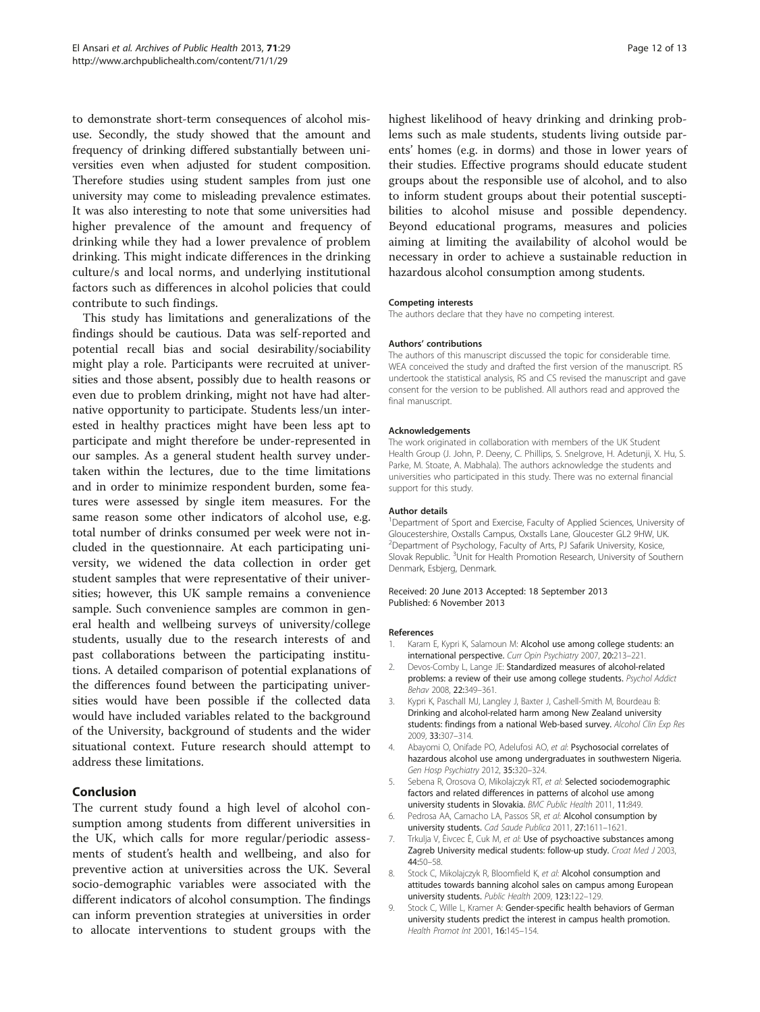<span id="page-11-0"></span>to demonstrate short-term consequences of alcohol misuse. Secondly, the study showed that the amount and frequency of drinking differed substantially between universities even when adjusted for student composition. Therefore studies using student samples from just one university may come to misleading prevalence estimates. It was also interesting to note that some universities had higher prevalence of the amount and frequency of drinking while they had a lower prevalence of problem drinking. This might indicate differences in the drinking culture/s and local norms, and underlying institutional factors such as differences in alcohol policies that could contribute to such findings.

This study has limitations and generalizations of the findings should be cautious. Data was self-reported and potential recall bias and social desirability/sociability might play a role. Participants were recruited at universities and those absent, possibly due to health reasons or even due to problem drinking, might not have had alternative opportunity to participate. Students less/un interested in healthy practices might have been less apt to participate and might therefore be under-represented in our samples. As a general student health survey undertaken within the lectures, due to the time limitations and in order to minimize respondent burden, some features were assessed by single item measures. For the same reason some other indicators of alcohol use, e.g. total number of drinks consumed per week were not included in the questionnaire. At each participating university, we widened the data collection in order get student samples that were representative of their universities; however, this UK sample remains a convenience sample. Such convenience samples are common in general health and wellbeing surveys of university/college students, usually due to the research interests of and past collaborations between the participating institutions. A detailed comparison of potential explanations of the differences found between the participating universities would have been possible if the collected data would have included variables related to the background of the University, background of students and the wider situational context. Future research should attempt to address these limitations.

## Conclusion

The current study found a high level of alcohol consumption among students from different universities in the UK, which calls for more regular/periodic assessments of student's health and wellbeing, and also for preventive action at universities across the UK. Several socio-demographic variables were associated with the different indicators of alcohol consumption. The findings can inform prevention strategies at universities in order to allocate interventions to student groups with the

highest likelihood of heavy drinking and drinking problems such as male students, students living outside parents' homes (e.g. in dorms) and those in lower years of their studies. Effective programs should educate student groups about the responsible use of alcohol, and to also to inform student groups about their potential susceptibilities to alcohol misuse and possible dependency. Beyond educational programs, measures and policies aiming at limiting the availability of alcohol would be necessary in order to achieve a sustainable reduction in hazardous alcohol consumption among students.

#### Competing interests

The authors declare that they have no competing interest.

#### Authors' contributions

The authors of this manuscript discussed the topic for considerable time. WEA conceived the study and drafted the first version of the manuscript. RS undertook the statistical analysis, RS and CS revised the manuscript and gave consent for the version to be published. All authors read and approved the final manuscript.

#### Acknowledgements

The work originated in collaboration with members of the UK Student Health Group (J. John, P. Deeny, C. Phillips, S. Snelgrove, H. Adetunji, X. Hu, S. Parke, M. Stoate, A. Mabhala). The authors acknowledge the students and universities who participated in this study. There was no external financial support for this study.

#### Author details

<sup>1</sup>Department of Sport and Exercise, Faculty of Applied Sciences, University of Gloucestershire, Oxstalls Campus, Oxstalls Lane, Gloucester GL2 9HW, UK. <sup>2</sup>Department of Psychology, Faculty of Arts, PJ Safarik University, Kosice, Slovak Republic.<sup>3</sup> Unit for Health Promotion Research, University of Southern Denmark, Esbjerg, Denmark.

#### Received: 20 June 2013 Accepted: 18 September 2013 Published: 6 November 2013

#### References

- 1. Karam E, Kypri K, Salamoun M: Alcohol use among college students: an international perspective. Curr Opin Psychiatry 2007, 20:213–221.
- 2. Devos-Comby L, Lange JE: Standardized measures of alcohol-related problems: a review of their use among college students. Psychol Addict Behav 2008, 22:349–361.
- 3. Kypri K, Paschall MJ, Langley J, Baxter J, Cashell-Smith M, Bourdeau B: Drinking and alcohol-related harm among New Zealand university students: findings from a national Web-based survey. Alcohol Clin Exp Res 2009, 33:307–314.
- 4. Abayomi O, Onifade PO, Adelufosi AO, et al: Psychosocial correlates of hazardous alcohol use among undergraduates in southwestern Nigeria. Gen Hosp Psychiatry 2012, 35:320–324.
- 5. Sebena R, Orosova O, Mikolajczyk RT, et al: Selected sociodemographic factors and related differences in patterns of alcohol use among university students in Slovakia. BMC Public Health 2011, 11:849.
- 6. Pedrosa AA, Camacho LA, Passos SR, et al: Alcohol consumption by university students. Cad Saude Publica 2011, 27:1611–1621.
- 7. Trkulja V, Êivcec Ê, Cuk M, et al: Use of psychoactive substances among Zagreb University medical students: follow-up study. Croat Med J 2003, 44:50–58.
- 8. Stock C, Mikolajczyk R, Bloomfield K, et al: Alcohol consumption and attitudes towards banning alcohol sales on campus among European university students. Public Health 2009, 123:122–129.
- 9. Stock C, Wille L, Kramer A: Gender-specific health behaviors of German university students predict the interest in campus health promotion. Health Promot Int 2001, 16:145–154.